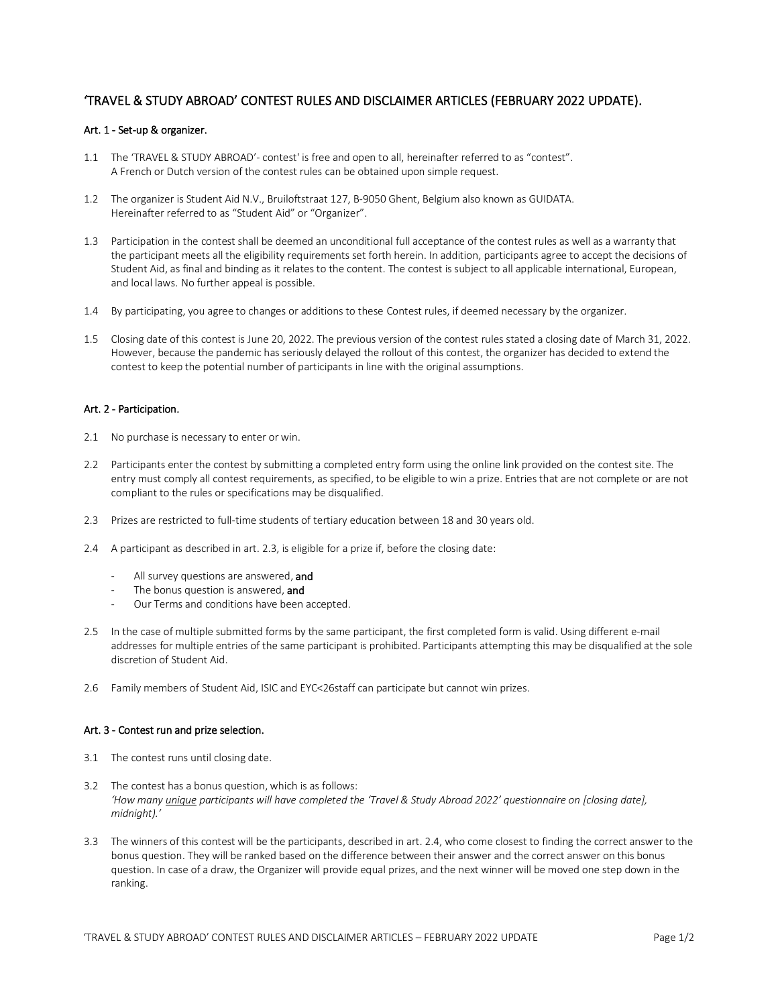# 'TRAVEL & STUDY ABROAD' CONTEST RULES AND DISCLAIMER ARTICLES (FEBRUARY 2022 UPDATE).

## Art. 1 - Set-up & organizer.

- 1.1 The 'TRAVEL & STUDY ABROAD'- contest' is free and open to all, hereinafter referred to as "contest". A French or Dutch version of the contest rules can be obtained upon simple request.
- 1.2 The organizer is Student Aid N.V., Bruiloftstraat 127, B-9050 Ghent, Belgium also known as GUIDATA. Hereinafter referred to as "Student Aid" or "Organizer".
- 1.3 Participation in the contest shall be deemed an unconditional full acceptance of the contest rules as well as a warranty that the participant meets all the eligibility requirements set forth herein. In addition, participants agree to accept the decisions of Student Aid, as final and binding as it relates to the content. The contest is subject to all applicable international, European, and local laws. No further appeal is possible.
- 1.4 By participating, you agree to changes or additions to these Contest rules, if deemed necessary by the organizer.
- 1.5 Closing date of this contest is June 20, 2022. The previous version of the contest rules stated a closing date of March 31, 2022. However, because the pandemic has seriously delayed the rollout of this contest, the organizer has decided to extend the contest to keep the potential number of participants in line with the original assumptions.

### Art. 2 - Participation.

- 2.1 No purchase is necessary to enter or win.
- 2.2 Participants enter the contest by submitting a completed entry form using the online link provided on the contest site. The entry must comply all contest requirements, as specified, to be eligible to win a prize. Entries that are not complete or are not compliant to the rules or specifications may be disqualified.
- 2.3 Prizes are restricted to full-time students of tertiary education between 18 and 30 years old.
- 2.4 A participant as described in art. 2.3, is eligible for a prize if, before the closing date:
	- All survey questions are answered, and
	- The bonus question is answered, and
	- Our Terms and conditions have been accepted.
- 2.5 In the case of multiple submitted forms by the same participant, the first completed form is valid. Using different e-mail addresses for multiple entries of the same participant is prohibited. Participants attempting this may be disqualified at the sole discretion of Student Aid.
- 2.6 Family members of Student Aid, ISIC and EYC<26staff can participate but cannot win prizes.

### Art. 3 - Contest run and prize selection.

- 3.1 The contest runs until closing date.
- 3.2 The contest has a bonus question, which is as follows: *'How many unique participants will have completed the 'Travel & Study Abroad 2022' questionnaire on [closing date], midnight).'*
- 3.3 The winners of this contest will be the participants, described in art. 2.4, who come closest to finding the correct answer to the bonus question. They will be ranked based on the difference between their answer and the correct answer on this bonus question. In case of a draw, the Organizer will provide equal prizes, and the next winner will be moved one step down in the ranking.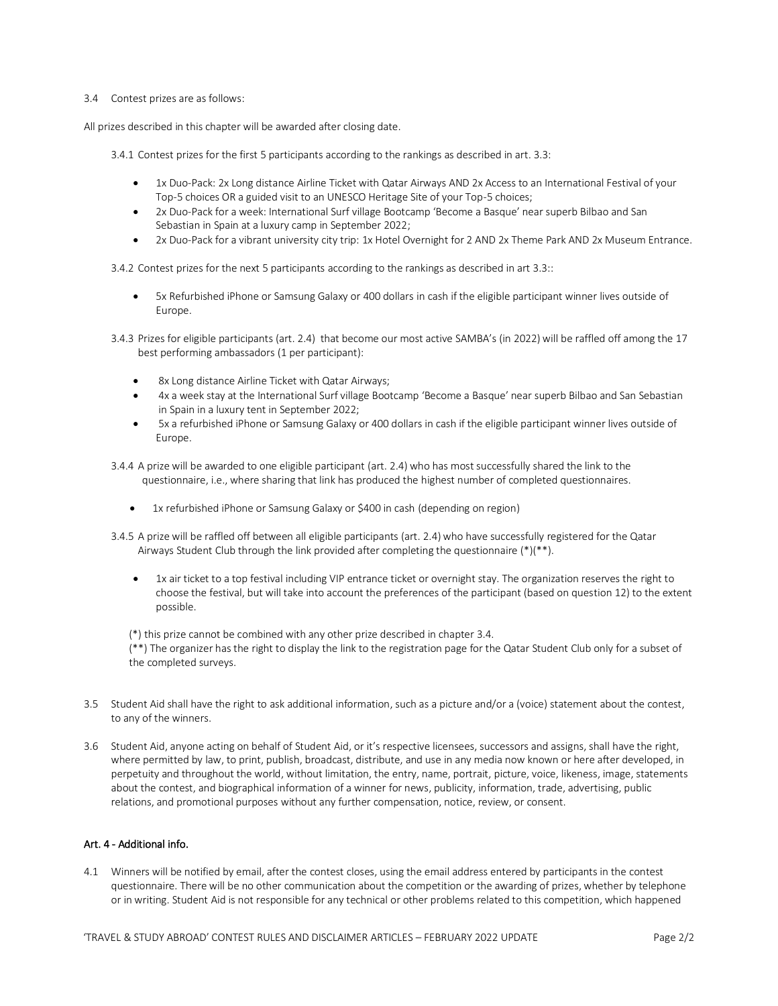#### 3.4 Contest prizes are as follows:

All prizes described in this chapter will be awarded after closing date.

3.4.1 Contest prizes for the first 5 participants according to the rankings as described in art. 3.3:

- 1x Duo-Pack: 2x Long distance Airline Ticket with Qatar Airways AND 2x Access to an International Festival of your Top-5 choices OR a guided visit to an UNESCO Heritage Site of your Top-5 choices;
- 2x Duo-Pack for a week: International Surf village Bootcamp 'Become a Basque' near superb Bilbao and San Sebastian in Spain at a luxury camp in September 2022;
- 2x Duo-Pack for a vibrant university city trip: 1x Hotel Overnight for 2 AND 2x Theme Park AND 2x Museum Entrance.

3.4.2 Contest prizes for the next 5 participants according to the rankings as described in art 3.3::

- 5x Refurbished iPhone or Samsung Galaxy or 400 dollars in cash if the eligible participant winner lives outside of Europe.
- 3.4.3 Prizes for eligible participants (art. 2.4) that become our most active SAMBA's (in 2022) will be raffled off among the 17 best performing ambassadors (1 per participant):
	- 8x Long distance Airline Ticket with Qatar Airways;
	- 4x a week stay at the International Surf village Bootcamp 'Become a Basque' near superb Bilbao and San Sebastian in Spain in a luxury tent in September 2022;
	- 5x a refurbished iPhone or Samsung Galaxy or 400 dollars in cash if the eligible participant winner lives outside of Europe.
- 3.4.4 A prize will be awarded to one eligible participant (art. 2.4) who has most successfully shared the link to the questionnaire, i.e., where sharing that link has produced the highest number of completed questionnaires.
	- 1x refurbished iPhone or Samsung Galaxy or \$400 in cash (depending on region)
- 3.4.5 A prize will be raffled off between all eligible participants (art. 2.4) who have successfully registered for the Qatar Airways Student Club through the link provided after completing the questionnaire  $(*)$ <sup>\*</sup>).
	- 1x air ticket to a top festival including VIP entrance ticket or overnight stay. The organization reserves the right to choose the festival, but will take into account the preferences of the participant (based on question 12) to the extent possible.

(\*) this prize cannot be combined with any other prize described in chapter 3.4.

(\*\*) The organizer has the right to display the link to the registration page for the Qatar Student Club only for a subset of the completed surveys.

- 3.5 Student Aid shall have the right to ask additional information, such as a picture and/or a (voice) statement about the contest, to any of the winners.
- 3.6 Student Aid, anyone acting on behalf of Student Aid, or it's respective licensees, successors and assigns, shall have the right, where permitted by law, to print, publish, broadcast, distribute, and use in any media now known or here after developed, in perpetuity and throughout the world, without limitation, the entry, name, portrait, picture, voice, likeness, image, statements about the contest, and biographical information of a winner for news, publicity, information, trade, advertising, public relations, and promotional purposes without any further compensation, notice, review, or consent.

#### Art. 4 - Additional info.

4.1 Winners will be notified by email, after the contest closes, using the email address entered by participants in the contest questionnaire. There will be no other communication about the competition or the awarding of prizes, whether by telephone or in writing. Student Aid is not responsible for any technical or other problems related to this competition, which happened